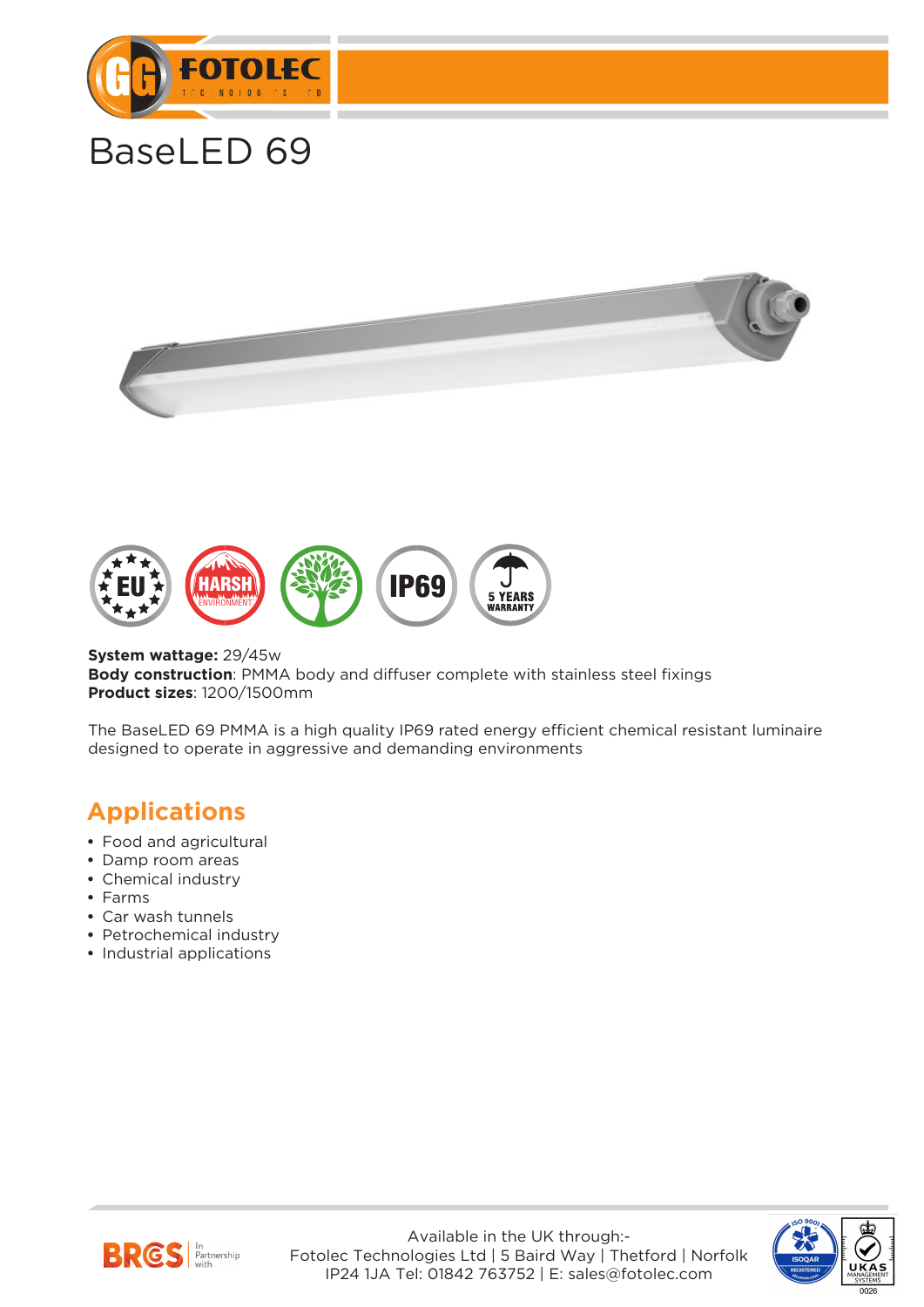

# BaseLED 69





**System wattage:** 29/45w **Body construction**: PMMA body and diffuser complete with stainless steel fixings **Product sizes**: 1200/1500mm

The BaseLED 69 PMMA is a high quality IP69 rated energy efficient chemical resistant luminaire designed to operate in aggressive and demanding environments

#### **Applications**

- **•** Food and agricultural
- **•** Damp room areas
- **•** Chemical industry
- **•** Farms
- **•** Car wash tunnels
- **•** Petrochemical industry
- **•** Industrial applications